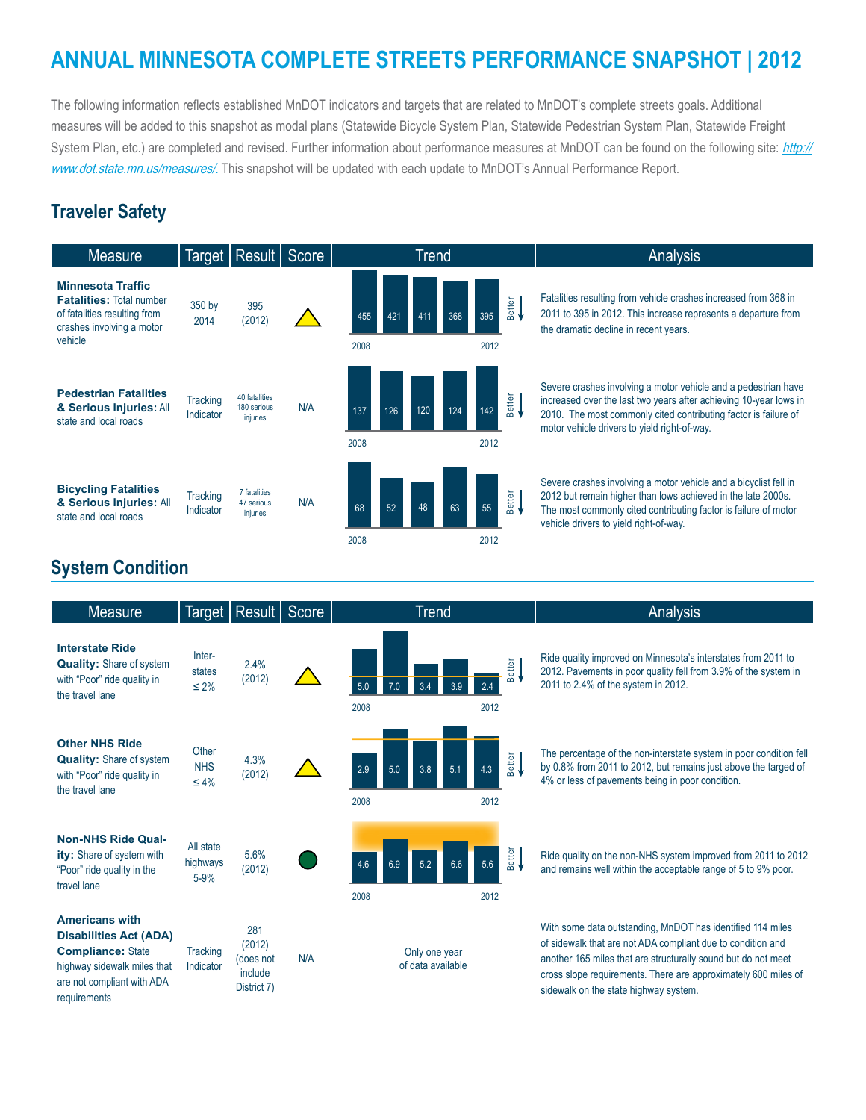# **ANNUAL MINNESOTA COMPLETE STREETS PERFORMANCE SNAPSHOT | 2012**

The following information reflects established MnDOT indicators and targets that are related to MnDOT's complete streets goals. Additional measures will be added to this snapshot as modal plans (Statewide Bicycle System Plan, Statewide Pedestrian System Plan, Statewide Freight System Plan, etc.) are completed and revised. Further information about performance measures at MnDOT can be found on the following site: [http://](http://www.dot.state.mn.us/measures/) [www.dot.state.mn.us/measures/](http://www.dot.state.mn.us/measures/). This snapshot will be updated with each update to MnDOT's Annual Performance Report.

### **Traveler Safety**



#### **System Condition**

| <b>Measure</b>                                                                                                                                                  |                                   | Target   Result                                      | Score | <b>Trend</b>                       |                                       | Analysis                                                                                                                                                                                                                                                                                              |
|-----------------------------------------------------------------------------------------------------------------------------------------------------------------|-----------------------------------|------------------------------------------------------|-------|------------------------------------|---------------------------------------|-------------------------------------------------------------------------------------------------------------------------------------------------------------------------------------------------------------------------------------------------------------------------------------------------------|
| <b>Interstate Ride</b><br><b>Quality: Share of system</b><br>with "Poor" ride quality in<br>the travel lane                                                     | Inter-<br>states<br>$\leq 2\%$    | 2.4%<br>(2012)                                       |       | 5.0<br>3.4<br>3.9<br>2008          | Better<br>2.4<br>2012                 | Ride quality improved on Minnesota's interstates from 2011 to<br>2012. Pavements in poor quality fell from 3.9% of the system in<br>2011 to 2.4% of the system in 2012.                                                                                                                               |
| <b>Other NHS Ride</b><br><b>Quality:</b> Share of system<br>with "Poor" ride quality in<br>the travel lane                                                      | Other<br><b>NHS</b><br>$\leq 4\%$ | 4.3%<br>(2012)                                       |       | 3.8<br>2.9<br>5.1<br>5.0<br>2008   | Better<br><del>4</del><br>4.3<br>2012 | The percentage of the non-interstate system in poor condition fell<br>by 0.8% from 2011 to 2012, but remains just above the targed of<br>4% or less of pavements being in poor condition.                                                                                                             |
| <b>Non-NHS Ride Qual-</b><br>ity: Share of system with<br>"Poor" ride quality in the<br>travel lane                                                             | All state<br>highways<br>$5 - 9%$ | 5.6%<br>(2012)                                       |       | 5.2<br>4.6<br>6.6<br>6.9<br>2008   | Better<br>5.6<br>2012                 | Ride quality on the non-NHS system improved from 2011 to 2012<br>and remains well within the acceptable range of 5 to 9% poor.                                                                                                                                                                        |
| <b>Americans with</b><br><b>Disabilities Act (ADA)</b><br><b>Compliance: State</b><br>highway sidewalk miles that<br>are not compliant with ADA<br>requirements | Tracking<br>Indicator             | 281<br>(2012)<br>(does not<br>include<br>District 7) | N/A   | Only one year<br>of data available |                                       | With some data outstanding, MnDOT has identified 114 miles<br>of sidewalk that are not ADA compliant due to condition and<br>another 165 miles that are structurally sound but do not meet<br>cross slope requirements. There are approximately 600 miles of<br>sidewalk on the state highway system. |